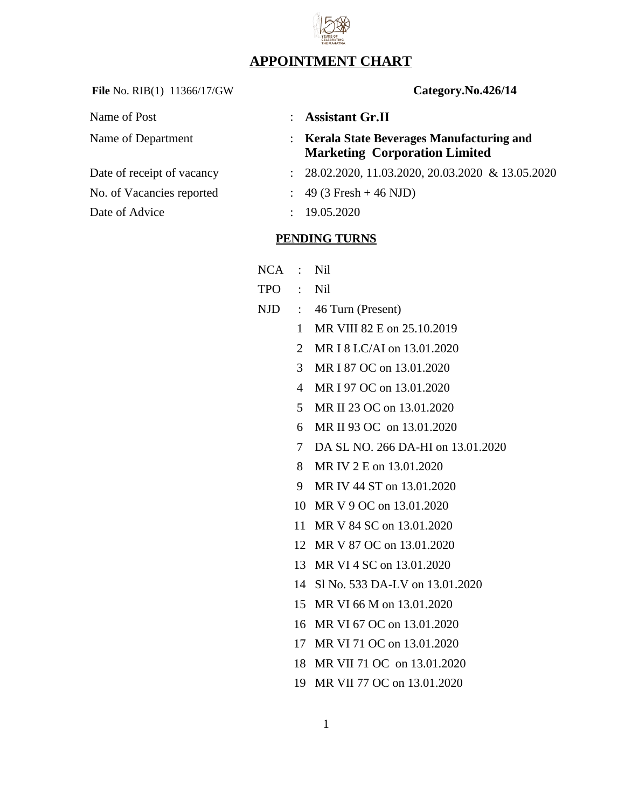## **APPOINTMENT CHART**

File No. RIB(1) 11366/17/GW **Category.No.426/14** 

Name of Post **: Assistant Gr.II** 

Date of Advice : 19.05.2020

| Name of Post                               | : Assistant Gr.II                                                                  |
|--------------------------------------------|------------------------------------------------------------------------------------|
| Name of Department                         | : Kerala State Beverages Manufacturing and<br><b>Marketing Corporation Limited</b> |
| Date of receipt of vacancy                 | $: 28.02.2020, 11.03.2020, 20.03.2020 \& 13.05.2020$                               |
| No. of Vacancies reported                  | $\therefore$ 49 (3 Fresh + 46 NJD)                                                 |
| $\mathbf{r}$ . $\mathbf{r}$ . $\mathbf{r}$ | $10.05$ DODA                                                                       |

### **PENDING TURNS**

| NCA | Nil |
|-----|-----|
|     |     |

- TPO : Nil
- NJD : 46 Turn (Present)
	- MR VIII 82 E on 25.10.2019
	- MR I 8 LC/AI on 13.01.2020
	- MR I 87 OC on 13.01.2020
	- MR I 97 OC on 13.01.2020
	- MR II 23 OC on 13.01.2020
	- MR II 93 OC on 13.01.2020
	- DA SL NO. 266 DA-HI on 13.01.2020
	- MR IV 2 E on 13.01.2020
	- MR IV 44 ST on 13.01.2020
	- MR V 9 OC on 13.01.2020
	- MR V 84 SC on 13.01.2020
	- MR V 87 OC on 13.01.2020
	- MR VI 4 SC on 13.01.2020
	- Sl No. 533 DA-LV on 13.01.2020
	- MR VI 66 M on 13.01.2020
	- MR VI 67 OC on 13.01.2020
	- MR VI 71 OC on 13.01.2020
	- MR VII 71 OC on 13.01.2020
	- MR VII 77 OC on 13.01.2020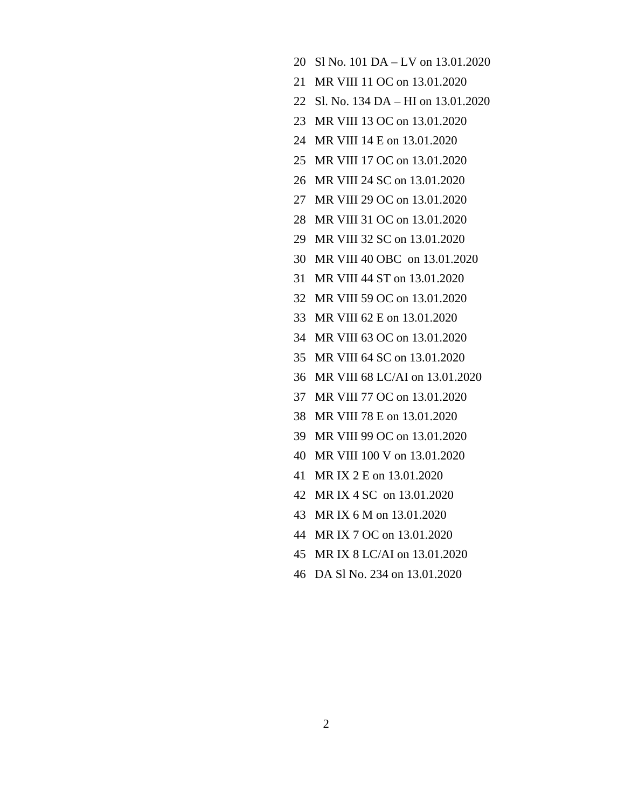- Sl No. 101 DA LV on 13.01.2020
- MR VIII 11 OC on 13.01.2020
- Sl. No. 134 DA HI on 13.01.2020
- MR VIII 13 OC on 13.01.2020
- MR VIII 14 E on 13.01.2020
- MR VIII 17 OC on 13.01.2020
- MR VIII 24 SC on 13.01.2020
- MR VIII 29 OC on 13.01.2020
- MR VIII 31 OC on 13.01.2020
- MR VIII 32 SC on 13.01.2020
- MR VIII 40 OBC on 13.01.2020
- MR VIII 44 ST on 13.01.2020
- MR VIII 59 OC on 13.01.2020
- MR VIII 62 E on 13.01.2020
- MR VIII 63 OC on 13.01.2020
- MR VIII 64 SC on 13.01.2020
- MR VIII 68 LC/AI on 13.01.2020
- MR VIII 77 OC on 13.01.2020
- MR VIII 78 E on 13.01.2020
- MR VIII 99 OC on 13.01.2020
- MR VIII 100 V on 13.01.2020
- MR IX 2 E on 13.01.2020
- MR IX 4 SC on 13.01.2020
- MR IX 6 M on 13.01.2020
- MR IX 7 OC on 13.01.2020
- MR IX 8 LC/AI on 13.01.2020
- DA Sl No. 234 on 13.01.2020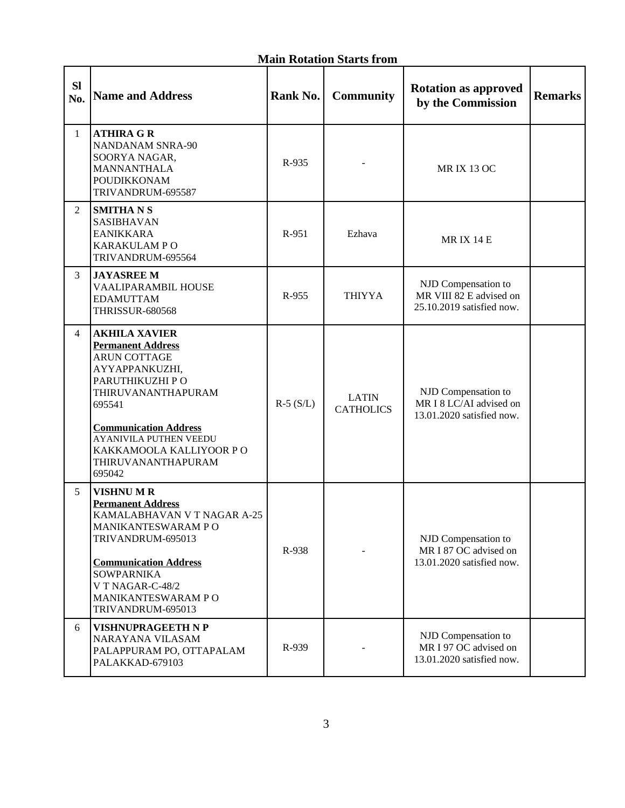### **Main Rotation Starts from**

| <b>SI</b><br>No. | <b>Name and Address</b>                                                                                                                                                                                                                                                   | Rank No.   | <b>Community</b>                 | <b>Rotation as approved</b><br>by the Commission                            | <b>Remarks</b> |
|------------------|---------------------------------------------------------------------------------------------------------------------------------------------------------------------------------------------------------------------------------------------------------------------------|------------|----------------------------------|-----------------------------------------------------------------------------|----------------|
| $\mathbf{1}$     | <b>ATHIRA G R</b><br><b>NANDANAM SNRA-90</b><br>SOORYA NAGAR,<br><b>MANNANTHALA</b><br><b>POUDIKKONAM</b><br>TRIVANDRUM-695587                                                                                                                                            | R-935      |                                  | <b>MRIX 13 OC</b>                                                           |                |
| $\overline{2}$   | <b>SMITHANS</b><br>SASIBHAVAN<br><b>EANIKKARA</b><br><b>KARAKULAM PO</b><br>TRIVANDRUM-695564                                                                                                                                                                             | R-951      | Ezhava                           | <b>MRIX 14 E</b>                                                            |                |
| 3                | <b>JAYASREE M</b><br>VAALIPARAMBIL HOUSE<br><b>EDAMUTTAM</b><br><b>THRISSUR-680568</b>                                                                                                                                                                                    | R-955      | <b>THIYYA</b>                    | NJD Compensation to<br>MR VIII 82 E advised on<br>25.10.2019 satisfied now. |                |
| 4                | <b>AKHILA XAVIER</b><br><b>Permanent Address</b><br><b>ARUN COTTAGE</b><br>AYYAPPANKUZHI,<br>PARUTHIKUZHI PO<br>THIRUVANANTHAPURAM<br>695541<br><b>Communication Address</b><br><b>AYANIVILA PUTHEN VEEDU</b><br>KAKKAMOOLA KALLIYOOR P O<br>THIRUVANANTHAPURAM<br>695042 | $R-5(S/L)$ | <b>LATIN</b><br><b>CATHOLICS</b> | NJD Compensation to<br>MR I 8 LC/AI advised on<br>13.01.2020 satisfied now. |                |
| 5                | <b>VISHNUMR</b><br><b>Permanent Address</b><br>KAMALABHAVAN V T NAGAR A-25<br><b>MANIKANTESWARAM P O</b><br>TRIVANDRUM-695013<br><b>Communication Address</b><br><b>SOWPARNIKA</b><br>V T NAGAR-C-48/2<br><b>MANIKANTESWARAM PO</b><br>TRIVANDRUM-695013                  | R-938      |                                  | NJD Compensation to<br>MR I 87 OC advised on<br>13.01.2020 satisfied now.   |                |
| 6                | <b>VISHNUPRAGEETH N P</b><br>NARAYANA VILASAM<br>PALAPPURAM PO, OTTAPALAM<br>PALAKKAD-679103                                                                                                                                                                              | R-939      |                                  | NJD Compensation to<br>MR I 97 OC advised on<br>13.01.2020 satisfied now.   |                |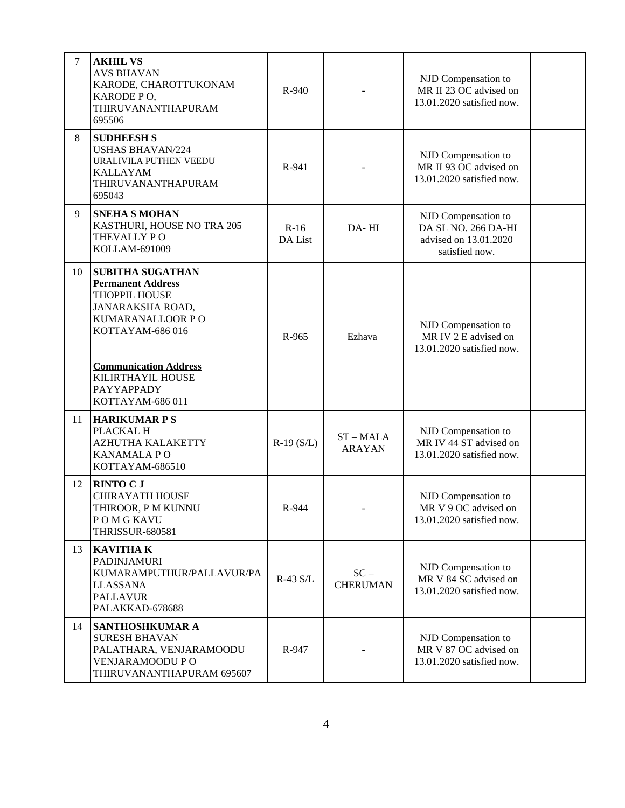| $\overline{7}$ | <b>AKHIL VS</b><br><b>AVS BHAVAN</b><br>KARODE, CHAROTTUKONAM<br>KARODE PO,<br>THIRUVANANTHAPURAM<br>695506                                                                                                                  | R-940             |                              | NJD Compensation to<br>MR II 23 OC advised on<br>13.01.2020 satisfied now.            |  |
|----------------|------------------------------------------------------------------------------------------------------------------------------------------------------------------------------------------------------------------------------|-------------------|------------------------------|---------------------------------------------------------------------------------------|--|
| 8              | <b>SUDHEESH S</b><br><b>USHAS BHAVAN/224</b><br>URALIVILA PUTHEN VEEDU<br><b>KALLAYAM</b><br>THIRUVANANTHAPURAM<br>695043                                                                                                    | R-941             |                              | NJD Compensation to<br>MR II 93 OC advised on<br>13.01.2020 satisfied now.            |  |
| 9              | <b>SNEHA S MOHAN</b><br>KASTHURI, HOUSE NO TRA 205<br>THEVALLY PO<br>KOLLAM-691009                                                                                                                                           | $R-16$<br>DA List | DA-HI                        | NJD Compensation to<br>DA SL NO. 266 DA-HI<br>advised on 13.01.2020<br>satisfied now. |  |
| 10             | <b>SUBITHA SUGATHAN</b><br><b>Permanent Address</b><br>THOPPIL HOUSE<br><b>JANARAKSHA ROAD,</b><br>KUMARANALLOOR PO<br>KOTTAYAM-686016<br><b>Communication Address</b><br>KILIRTHAYIL HOUSE<br>PAYYAPPADY<br>KOTTAYAM-686011 | R-965             | Ezhava                       | NJD Compensation to<br>MR IV 2 E advised on<br>13.01.2020 satisfied now.              |  |
| 11             | <b>HARIKUMAR P S</b><br>PLACKAL H<br>AZHUTHA KALAKETTY<br><b>KANAMALAPO</b><br>KOTTAYAM-686510                                                                                                                               | $R-19(S/L)$       | $ST - MALA$<br><b>ARAYAN</b> | NJD Compensation to<br>MR IV 44 ST advised on<br>13.01.2020 satisfied now.            |  |
| 12             | <b>RINTO C J</b><br><b>CHIRAYATH HOUSE</b><br>THIROOR, P M KUNNU<br>POMGKAVU<br><b>THRISSUR-680581</b>                                                                                                                       | R-944             |                              | NJD Compensation to<br>MR V 9 OC advised on<br>13.01.2020 satisfied now.              |  |
| 13             | <b>KAVITHAK</b><br>PADINJAMURI<br>KUMARAMPUTHUR/PALLAVUR/PA<br><b>LLASSANA</b><br><b>PALLAVUR</b><br>PALAKKAD-678688                                                                                                         | R-43 S/L          | $SC -$<br><b>CHERUMAN</b>    | NJD Compensation to<br>MR V 84 SC advised on<br>13.01.2020 satisfied now.             |  |
| 14             | SANTHOSHKUMAR A<br><b>SURESH BHAVAN</b><br>PALATHARA, VENJARAMOODU<br>VENJARAMOODU PO<br>THIRUVANANTHAPURAM 695607                                                                                                           | R-947             |                              | NJD Compensation to<br>MR V 87 OC advised on<br>13.01.2020 satisfied now.             |  |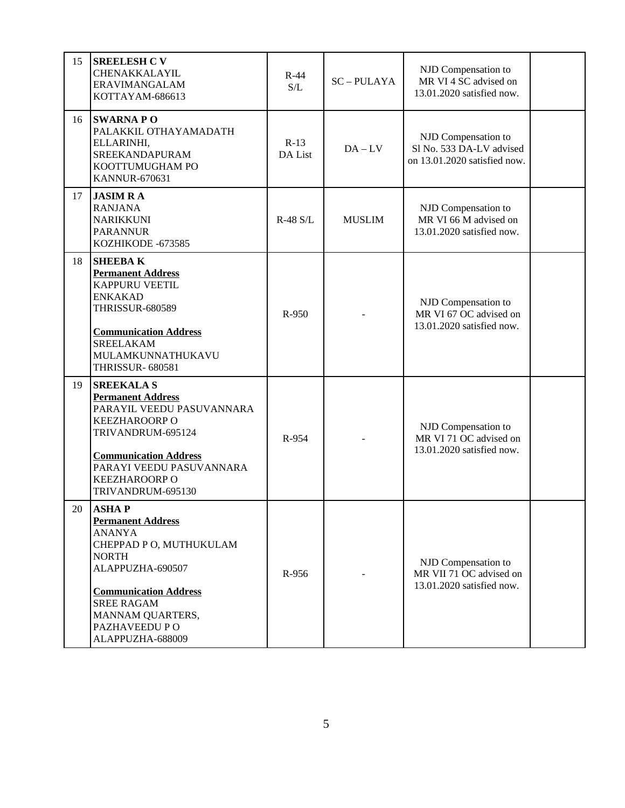| 15 | <b>SREELESH C V</b><br>CHENAKKALAYIL<br>ERAVIMANGALAM<br>KOTTAYAM-686613                                                                                                                                                                | $R-44$<br>S/L     | <b>SC-PULAYA</b> | NJD Compensation to<br>MR VI 4 SC advised on<br>13.01.2020 satisfied now.       |  |
|----|-----------------------------------------------------------------------------------------------------------------------------------------------------------------------------------------------------------------------------------------|-------------------|------------------|---------------------------------------------------------------------------------|--|
| 16 | <b>SWARNAPO</b><br>PALAKKIL OTHAYAMADATH<br>ELLARINHI,<br>SREEKANDAPURAM<br>KOOTTUMUGHAM PO<br><b>KANNUR-670631</b>                                                                                                                     | $R-13$<br>DA List | $DA - LV$        | NJD Compensation to<br>Sl No. 533 DA-LV advised<br>on 13.01.2020 satisfied now. |  |
| 17 | <b>JASIM RA</b><br><b>RANJANA</b><br><b>NARIKKUNI</b><br><b>PARANNUR</b><br>KOZHIKODE -673585                                                                                                                                           | $R-48$ S/L        | <b>MUSLIM</b>    | NJD Compensation to<br>MR VI 66 M advised on<br>13.01.2020 satisfied now.       |  |
| 18 | <b>SHEEBAK</b><br><b>Permanent Address</b><br><b>KAPPURU VEETIL</b><br><b>ENKAKAD</b><br><b>THRISSUR-680589</b><br><b>Communication Address</b><br><b>SREELAKAM</b><br>MULAMKUNNATHUKAVU<br><b>THRISSUR- 680581</b>                     | R-950             |                  | NJD Compensation to<br>MR VI 67 OC advised on<br>13.01.2020 satisfied now.      |  |
| 19 | <b>SREEKALA S</b><br><b>Permanent Address</b><br>PARAYIL VEEDU PASUVANNARA<br><b>KEEZHAROORP O</b><br>TRIVANDRUM-695124<br><b>Communication Address</b><br>PARAYI VEEDU PASUVANNARA<br><b>KEEZHAROORP O</b><br>TRIVANDRUM-695130        | R-954             |                  | NJD Compensation to<br>MR VI 71 OC advised on<br>13.01.2020 satisfied now.      |  |
| 20 | <b>ASHAP</b><br><b>Permanent Address</b><br><b>ANANYA</b><br>CHEPPAD P O, MUTHUKULAM<br><b>NORTH</b><br>ALAPPUZHA-690507<br><b>Communication Address</b><br><b>SREE RAGAM</b><br>MANNAM QUARTERS,<br>PAZHAVEEDU P O<br>ALAPPUZHA-688009 | R-956             |                  | NJD Compensation to<br>MR VII 71 OC advised on<br>13.01.2020 satisfied now.     |  |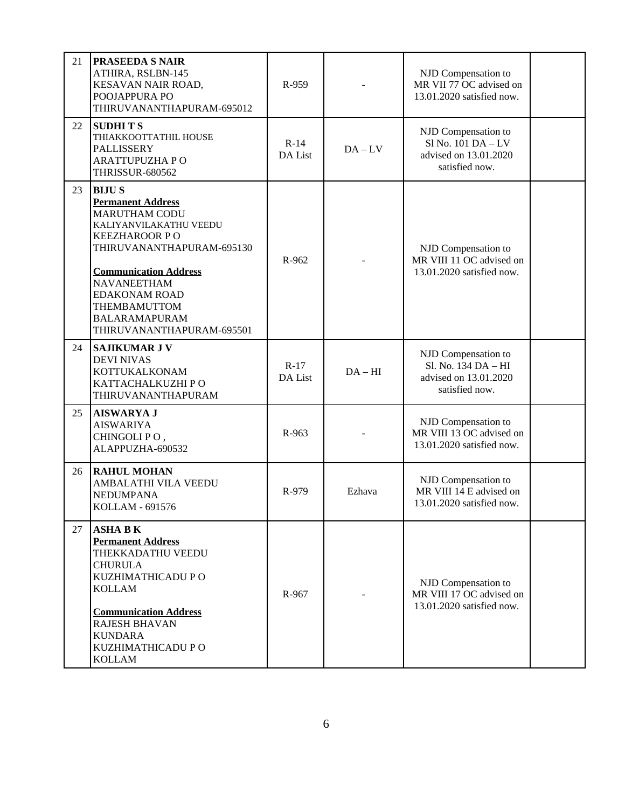| 21 | <b>PRASEEDA S NAIR</b><br>ATHIRA, RSLBN-145<br>KESAVAN NAIR ROAD,<br>POOJAPPURA PO<br>THIRUVANANTHAPURAM-695012                                                                                                                                                                                    | R-959             |                                                                              | NJD Compensation to<br>MR VII 77 OC advised on<br>13.01.2020 satisfied now.           |  |
|----|----------------------------------------------------------------------------------------------------------------------------------------------------------------------------------------------------------------------------------------------------------------------------------------------------|-------------------|------------------------------------------------------------------------------|---------------------------------------------------------------------------------------|--|
| 22 | <b>SUDHITS</b><br>THIAKKOOTTATHIL HOUSE<br>PALLISSERY<br><b>ARATTUPUZHA PO</b><br><b>THRISSUR-680562</b>                                                                                                                                                                                           | $R-14$<br>DA List | $DA - LV$                                                                    | NJD Compensation to<br>Sl No. 101 DA - LV<br>advised on 13.01.2020<br>satisfied now.  |  |
| 23 | <b>BIJUS</b><br><b>Permanent Address</b><br><b>MARUTHAM CODU</b><br>KALIYANVILAKATHU VEEDU<br><b>KEEZHAROOR PO</b><br>THIRUVANANTHAPURAM-695130<br><b>Communication Address</b><br><b>NAVANEETHAM</b><br><b>EDAKONAM ROAD</b><br>THEMBAMUTTOM<br><b>BALARAMAPURAM</b><br>THIRUVANANTHAPURAM-695501 | R-962             | NJD Compensation to<br>MR VIII 11 OC advised on<br>13.01.2020 satisfied now. |                                                                                       |  |
| 24 | <b>SAJIKUMAR J V</b><br><b>DEVI NIVAS</b><br>KOTTUKALKONAM<br>KATTACHALKUZHI PO<br>THIRUVANANTHAPURAM                                                                                                                                                                                              | $R-17$<br>DA List | $DA-HI$                                                                      | NJD Compensation to<br>Sl. No. 134 DA - HI<br>advised on 13.01.2020<br>satisfied now. |  |
| 25 | <b>AISWARYA J</b><br><b>AISWARIYA</b><br>CHINGOLIPO,<br>ALAPPUZHA-690532                                                                                                                                                                                                                           | R-963             |                                                                              | NJD Compensation to<br>MR VIII 13 OC advised on<br>13.01.2020 satisfied now.          |  |
| 26 | <b>RAHUL MOHAN</b><br>AMBALATHI VILA VEEDU<br><b>NEDUMPANA</b><br>KOLLAM - 691576                                                                                                                                                                                                                  | R-979             | Ezhava                                                                       | NJD Compensation to<br>MR VIII 14 E advised on<br>13.01.2020 satisfied now.           |  |
| 27 | <b>ASHA B K</b><br><b>Permanent Address</b><br>THEKKADATHU VEEDU<br><b>CHURULA</b><br>KUZHIMATHICADU P O<br><b>KOLLAM</b><br><b>Communication Address</b><br><b>RAJESH BHAVAN</b><br><b>KUNDARA</b><br>KUZHIMATHICADU P O<br><b>KOLLAM</b>                                                         | R-967             |                                                                              | NJD Compensation to<br>MR VIII 17 OC advised on<br>13.01.2020 satisfied now.          |  |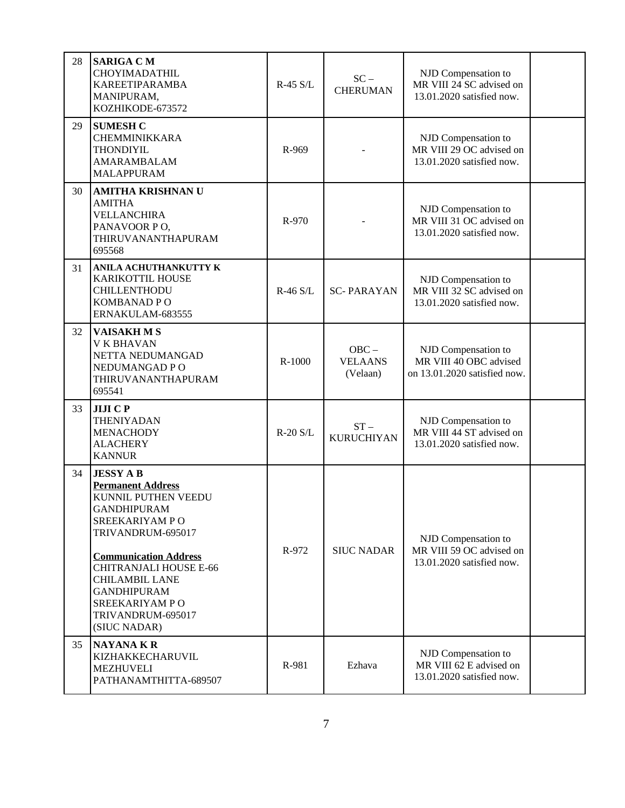| 28 | <b>SARIGA CM</b><br>CHOYIMADATHIL<br>KAREETIPARAMBA<br>MANIPURAM,<br>KOZHIKODE-673572                                                                                                                                                                                                           | R-45 S/L   | $SC -$<br><b>CHERUMAN</b>             | NJD Compensation to<br>MR VIII 24 SC advised on<br>13.01.2020 satisfied now.  |  |
|----|-------------------------------------------------------------------------------------------------------------------------------------------------------------------------------------------------------------------------------------------------------------------------------------------------|------------|---------------------------------------|-------------------------------------------------------------------------------|--|
| 29 | <b>SUMESH C</b><br><b>CHEMMINIKKARA</b><br><b>THONDIYIL</b><br>AMARAMBALAM<br><b>MALAPPURAM</b>                                                                                                                                                                                                 | R-969      |                                       | NJD Compensation to<br>MR VIII 29 OC advised on<br>13.01.2020 satisfied now.  |  |
| 30 | <b>AMITHA KRISHNAN U</b><br><b>AMITHA</b><br><b>VELLANCHIRA</b><br>PANAVOOR PO,<br>THIRUVANANTHAPURAM<br>695568                                                                                                                                                                                 | R-970      |                                       | NJD Compensation to<br>MR VIII 31 OC advised on<br>13.01.2020 satisfied now.  |  |
| 31 | ANILA ACHUTHANKUTTY K<br>KARIKOTTIL HOUSE<br>CHILLENTHODU<br>KOMBANAD PO<br>ERNAKULAM-683555                                                                                                                                                                                                    | $R-46$ S/L | <b>SC-PARAYAN</b>                     | NJD Compensation to<br>MR VIII 32 SC advised on<br>13.01.2020 satisfied now.  |  |
| 32 | <b>VAISAKHMS</b><br><b>V K BHAVAN</b><br>NETTA NEDUMANGAD<br>NEDUMANGAD PO<br>THIRUVANANTHAPURAM<br>695541                                                                                                                                                                                      | R-1000     | $OBC -$<br><b>VELAANS</b><br>(Velaan) | NJD Compensation to<br>MR VIII 40 OBC advised<br>on 13.01.2020 satisfied now. |  |
| 33 | <b>JIJICP</b><br><b>THENIYADAN</b><br><b>MENACHODY</b><br><b>ALACHERY</b><br><b>KANNUR</b>                                                                                                                                                                                                      | R-20 S/L   | $ST -$<br><b>KURUCHIYAN</b>           | NJD Compensation to<br>MR VIII 44 ST advised on<br>13.01.2020 satisfied now.  |  |
| 34 | <b>JESSY AB</b><br><b>Permanent Address</b><br>KUNNIL PUTHEN VEEDU<br>GANDHIPURAM<br>SREEKARIYAM PO<br>TRIVANDRUM-695017<br><b>Communication Address</b><br><b>CHITRANJALI HOUSE E-66</b><br><b>CHILAMBIL LANE</b><br><b>GANDHIPURAM</b><br>SREEKARIYAM PO<br>TRIVANDRUM-695017<br>(SIUC NADAR) | R-972      | <b>SIUC NADAR</b>                     | NJD Compensation to<br>MR VIII 59 OC advised on<br>13.01.2020 satisfied now.  |  |
| 35 | <b>NAYANAKR</b><br>KIZHAKKECHARUVIL<br><b>MEZHUVELI</b><br>PATHANAMTHITTA-689507                                                                                                                                                                                                                | R-981      | Ezhava                                | NJD Compensation to<br>MR VIII 62 E advised on<br>13.01.2020 satisfied now.   |  |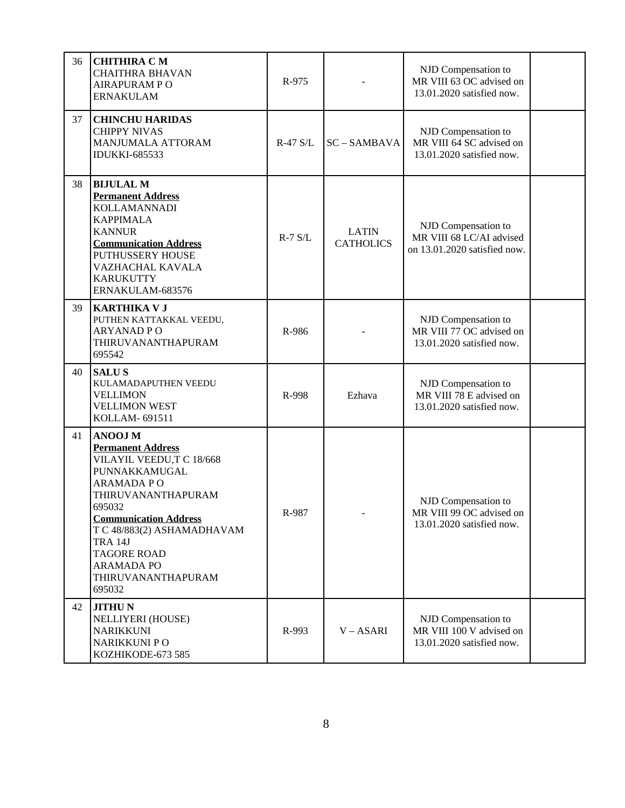| 36 | <b>CHITHIRA CM</b><br><b>CHAITHRA BHAVAN</b><br><b>AIRAPURAM PO</b><br><b>ERNAKULAM</b>                                                                                                                                                                                                                | R-975       |                                  | NJD Compensation to<br>MR VIII 63 OC advised on<br>13.01.2020 satisfied now.    |  |
|----|--------------------------------------------------------------------------------------------------------------------------------------------------------------------------------------------------------------------------------------------------------------------------------------------------------|-------------|----------------------------------|---------------------------------------------------------------------------------|--|
| 37 | <b>CHINCHU HARIDAS</b><br><b>CHIPPY NIVAS</b><br>MANJUMALA ATTORAM<br><b>IDUKKI-685533</b>                                                                                                                                                                                                             | R-47 S/L    | SC-SAMBAVA                       | NJD Compensation to<br>MR VIII 64 SC advised on<br>13.01.2020 satisfied now.    |  |
| 38 | <b>BIJULAL M</b><br><b>Permanent Address</b><br><b>KOLLAMANNADI</b><br><b>KAPPIMALA</b><br><b>KANNUR</b><br><b>Communication Address</b><br>PUTHUSSERY HOUSE<br>VAZHACHAL KAVALA<br><b>KARUKUTTY</b><br>ERNAKULAM-683576                                                                               | $R-7$ $S/L$ | <b>LATIN</b><br><b>CATHOLICS</b> | NJD Compensation to<br>MR VIII 68 LC/AI advised<br>on 13.01.2020 satisfied now. |  |
| 39 | <b>KARTHIKA V J</b><br>PUTHEN KATTAKKAL VEEDU,<br><b>ARYANADPO</b><br>THIRUVANANTHAPURAM<br>695542                                                                                                                                                                                                     | R-986       |                                  | NJD Compensation to<br>MR VIII 77 OC advised on<br>13.01.2020 satisfied now.    |  |
| 40 | <b>SALUS</b><br>KULAMADAPUTHEN VEEDU<br><b>VELLIMON</b><br><b>VELLIMON WEST</b><br>KOLLAM-691511                                                                                                                                                                                                       | R-998       | Ezhava                           | NJD Compensation to<br>MR VIII 78 E advised on<br>13.01.2020 satisfied now.     |  |
| 41 | <b>ANOOJM</b><br><b>Permanent Address</b><br>VILAYIL VEEDU,T C 18/668<br>PUNNAKKAMUGAL<br><b>ARAMADA PO</b><br>THIRUVANANTHAPURAM<br>695032<br><b>Communication Address</b><br>T C 48/883(2) ASHAMADHAVAM<br><b>TRA 14J</b><br><b>TAGORE ROAD</b><br><b>ARAMADA PO</b><br>THIRUVANANTHAPURAM<br>695032 | R-987       |                                  | NJD Compensation to<br>MR VIII 99 OC advised on<br>13.01.2020 satisfied now.    |  |
| 42 | <b>JITHUN</b><br><b>NELLIYERI (HOUSE)</b><br><b>NARIKKUNI</b><br><b>NARIKKUNI PO</b><br>KOZHIKODE-673 585                                                                                                                                                                                              | R-993       | V-ASARI                          | NJD Compensation to<br>MR VIII 100 V advised on<br>13.01.2020 satisfied now.    |  |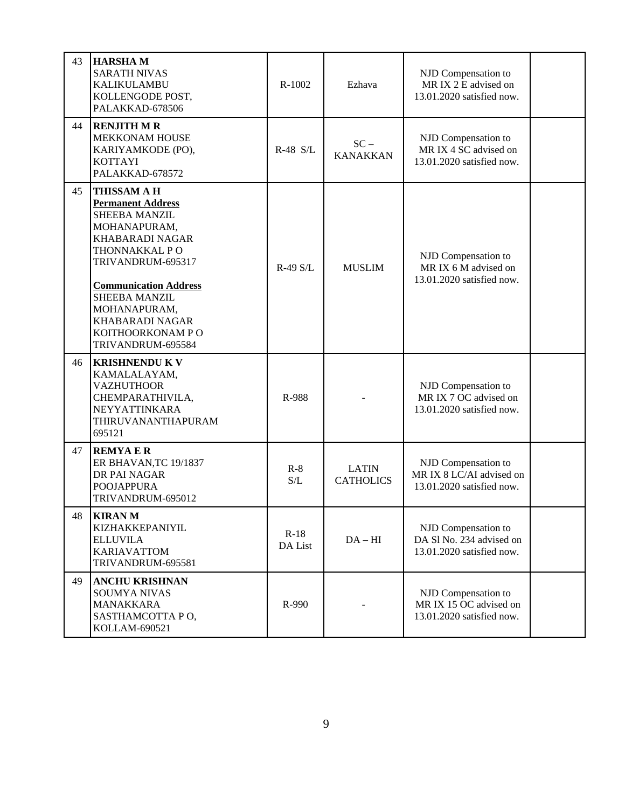| 43 | <b>HARSHAM</b><br><b>SARATH NIVAS</b><br><b>KALIKULAMBU</b><br>KOLLENGODE POST,<br>PALAKKAD-678506                                                                                                                                                                                         | R-1002            | Ezhava                           | NJD Compensation to<br>MR IX 2 E advised on<br>13.01.2020 satisfied now.     |  |
|----|--------------------------------------------------------------------------------------------------------------------------------------------------------------------------------------------------------------------------------------------------------------------------------------------|-------------------|----------------------------------|------------------------------------------------------------------------------|--|
| 44 | <b>RENJITH M R</b><br>MEKKONAM HOUSE<br>KARIYAMKODE (PO),<br>KOTTAYI<br>PALAKKAD-678572                                                                                                                                                                                                    | R-48 S/L          | $SC -$<br><b>KANAKKAN</b>        | NJD Compensation to<br>MR IX 4 SC advised on<br>13.01.2020 satisfied now.    |  |
| 45 | <b>THISSAM A H</b><br><b>Permanent Address</b><br><b>SHEEBA MANZIL</b><br>MOHANAPURAM,<br>KHABARADI NAGAR<br>THONNAKKAL PO<br>TRIVANDRUM-695317<br><b>Communication Address</b><br><b>SHEEBA MANZIL</b><br>MOHANAPURAM,<br><b>KHABARADI NAGAR</b><br>KOITHOORKONAM PO<br>TRIVANDRUM-695584 | $R-49$ S/I.       | <b>MUSLIM</b>                    | NJD Compensation to<br>MR IX 6 M advised on<br>13.01.2020 satisfied now.     |  |
| 46 | <b>KRISHNENDU K V</b><br>KAMALALAYAM,<br><b>VAZHUTHOOR</b><br>CHEMPARATHIVILA,<br>NEYYATTINKARA<br>THIRUVANANTHAPURAM<br>695121                                                                                                                                                            | R-988             |                                  | NJD Compensation to<br>MR IX 7 OC advised on<br>13.01.2020 satisfied now.    |  |
| 47 | <b>REMYAER</b><br>ER BHAVAN, TC 19/1837<br>DR PAI NAGAR<br><b>POOJAPPURA</b><br>TRIVANDRUM-695012                                                                                                                                                                                          | $R-8$<br>S/L      | <b>LATIN</b><br><b>CATHOLICS</b> | NJD Compensation to<br>MR IX 8 LC/AI advised on<br>13.01.2020 satisfied now. |  |
| 48 | <b>KIRAN M</b><br>KIZHAKKEPANIYIL<br><b>ELLUVILA</b><br><b>KARIAVATTOM</b><br>TRIVANDRUM-695581                                                                                                                                                                                            | $R-18$<br>DA List | $DA-HI$                          | NJD Compensation to<br>DA Sl No. 234 advised on<br>13.01.2020 satisfied now. |  |
| 49 | <b>ANCHU KRISHNAN</b><br><b>SOUMYA NIVAS</b><br>MANAKKARA<br>SASTHAMCOTTA PO,<br>KOLLAM-690521                                                                                                                                                                                             | R-990             |                                  | NJD Compensation to<br>MR IX 15 OC advised on<br>13.01.2020 satisfied now.   |  |